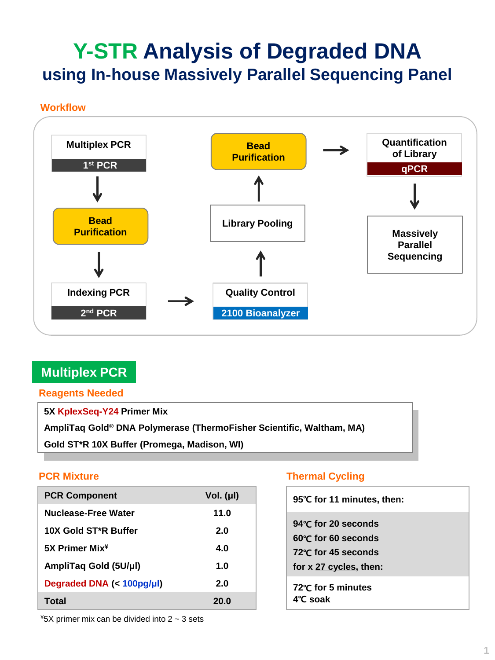# **Y-STR Analysis of Degraded DNA using In-house Massively Parallel Sequencing Panel**

## **Workflow**



# **Multiplex PCR**

**Reagents Needed**

**5X KplexSeq-Y24 Primer Mix**

**AmpliTaq Gold® DNA Polymerase (ThermoFisher Scientific, Waltham, MA)**

**Gold ST\*R 10X Buffer (Promega, Madison, WI)**

| <b>PCR Component</b>              | Vol. $(\mu I)$ |
|-----------------------------------|----------------|
| Nuclease-Free Water               | 11.0           |
| 10X Gold ST <sup>*</sup> R Buffer | 2.0            |
| 5X Primer Mix <sup>¥</sup>        | 4.O            |
| AmpliTaq Gold (5U/µl)             | 1.0            |
| Degraded DNA (< 100pg/µl)         | 2.0            |
| Total                             | 20.0           |

# **PCR Mixture Thermal Cycling**

| 95°C for 11 minutes, then:                                                                            |
|-------------------------------------------------------------------------------------------------------|
| 94 $\degree$ C for 20 seconds<br>60°C for 60 seconds<br>72°C for 45 seconds<br>for x 27 cycles, then: |
| 72℃ for 5 minutes<br>4°C soak                                                                         |

 $*5X$  primer mix can be divided into 2  $\sim$  3 sets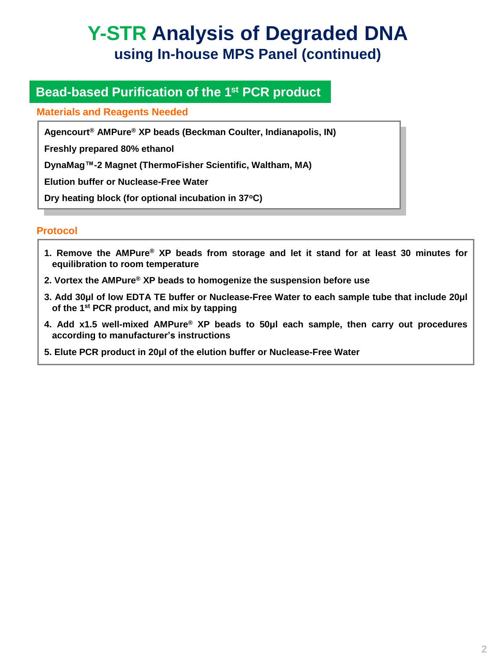# **Y-STR Analysis of Degraded DNA using In-house MPS Panel (continued)**

# **Bead-based Purification of the 1st PCR product**

## **Materials and Reagents Needed**

**Agencourt® AMPure® XP beads (Beckman Coulter, Indianapolis, IN)**

**Freshly prepared 80% ethanol**

**DynaMag™-2 Magnet (ThermoFisher Scientific, Waltham, MA)**

**Elution buffer or Nuclease-Free Water**

**Dry heating block (for optional incubation in 37<sup>o</sup>C)**

## **Protocol**

- **1. Remove the AMPure® XP beads from storage and let it stand for at least 30 minutes for equilibration to room temperature**
- **2. Vortex the AMPure® XP beads to homogenize the suspension before use**
- **3. Add 30μl of low EDTA TE buffer or Nuclease-Free Water to each sample tube that include 20μl of the 1 st PCR product, and mix by tapping**
- **4. Add x1.5 well-mixed AMPure® XP beads to 50μl each sample, then carry out procedures according to manufacturer's instructions**
- **5. Elute PCR product in 20μl of the elution buffer or Nuclease-Free Water**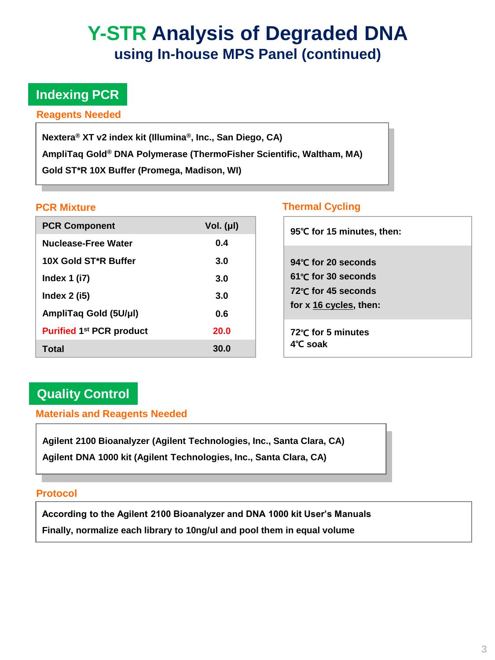# **Y-STR Analysis of Degraded DNA using In-house MPS Panel (continued)**

# **Indexing PCR**

### **Reagents Needed**

**Nextera® XT v2 index kit (Illumina® , Inc., San Diego, CA) AmpliTaq Gold® DNA Polymerase (ThermoFisher Scientific, Waltham, MA) Gold ST\*R 10X Buffer (Promega, Madison, WI)**

| <b>PCR Component</b>            | Vol. (µl)   |
|---------------------------------|-------------|
| Nuclease-Free Water             | 0.4         |
| 10X Gold ST*R Buffer            | 3.0         |
| Index $1$ (i7)                  | 3.0         |
| Index $2$ (i5)                  | 3.0         |
| AmpliTaq Gold (5U/µl)           | 0.6         |
| <b>Purified 1st PCR product</b> | <b>20.0</b> |
| Total                           | 30.0        |

## **PCR Mixture Thermal Cycling**

| 95℃ for 15 minutes, then:                                                                            |
|------------------------------------------------------------------------------------------------------|
| 94℃ for 20 seconds<br>$61^{\circ}$ C for 30 seconds<br>72°C for 45 seconds<br>for x 16 cycles, then: |
| 72°C for 5 minutes<br>$4^\circ$ C soak                                                               |

# **Quality Control**

# **Materials and Reagents Needed**

**Agilent 2100 Bioanalyzer (Agilent Technologies, Inc., Santa Clara, CA) Agilent DNA 1000 kit (Agilent Technologies, Inc., Santa Clara, CA)**

### **Protocol**

**According to the Agilent 2100 Bioanalyzer and DNA 1000 kit User's Manuals**

**Finally, normalize each library to 10ng/ul and pool them in equal volume**